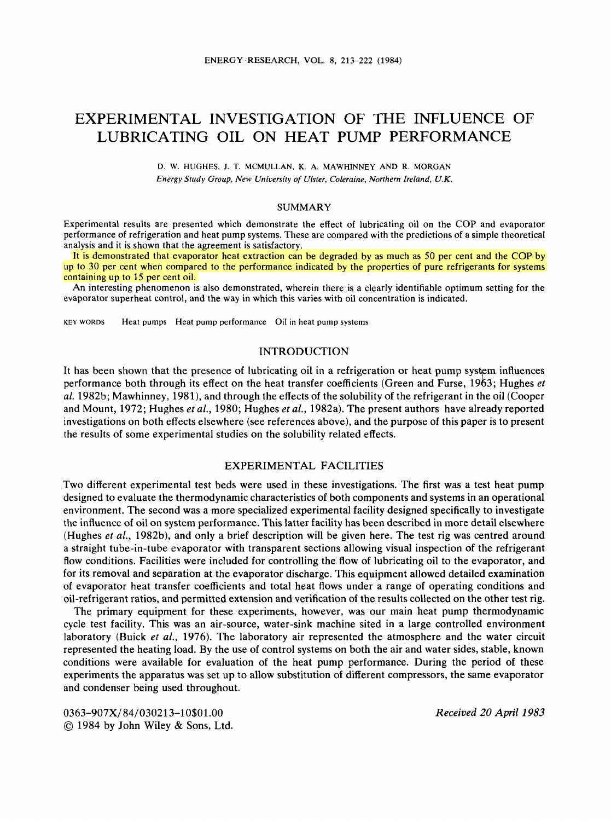# EXPERIMENTAL INVESTIGATION OF THE INFLUENCE OF LUBRICATING OIL ON HEAT PUMP PERFORMANCE

**D. W. HUGHES, J. T. MCMULLAN, K. A. MAWHINNEY AND R. MORGAN Energy Study Group, New University of Ulster, Coleraine, Northern Ireland,** *U.K.* 

## **SUMMARY**

Experimental results are presented which demonstrate the effect of lubricating oil on the COP and evaporator performance of refrigeration and heat pump systems. These are compared with the predictions of a simple theoretical analysis and it is shown that the agreement is satisfactory.

It is demonstrated that evaporator heat extraction can be degraded by as much as 50 per cent and the **COP** by up to **30** per cent when compared to the performance indicated by the properties of pure refrigerants for systems containing up to 15 per cent oil.

**An** interesting phenomenon is also demonstrated, wherein there is a clearly identifiable optimum setting for the evaporator superheat control, and the way in which this varies with oil concentration is indicated.

**KEY WORDS Heat pumps Heat pump performance** oil in **heat pump systems** 

## INTRODUCTION

It has been shown that the presence of lubricating oil in a refrigeration or heat pump system influences *af.* 1982b; Mawhinney, 1981), and through the effects of the solubility of the refrigerant in the oil (Cooper and Mount, 1972; Hughes et *af.,* 1980; Hughes et *al.,* 1982a). The present authors have already reported investigations on both effects elsewhere (see references above), and the purpose of this paper is to present the results of some experimental studies on the solubility related effects. performance both through its effect on the heat transfer coefficients (Green and Furse, 1963; Hughes *et* 

## EXPERIMENTAL FACILITIES

Two different experimental test beds were used in these investigations. The first was a test heat pump designed to evaluate the thermodynamic characteristics of both components and systems in an operational environment. The second was a more specialized experimental facility designed specifically to investigate the influence of oil on system performance. This latter facility has been described in more detail elsewhere (Hughes *et af.,* 1982b), and only a brief description will be given here. The test rig was centred around a straight tube-in-tube evaporator with transparent sections allowing visual inspection of the refrigerant flow conditions. Facilities were included for controlling the flow of lubricating oil to the evaporator, and for its removal and separation at the evaporator discharge. This equipment allowed detailed examination of evaporator heat transfer coefficients and total heat flows under a range of operating conditions and oil-refrigerant ratios, and permitted extension and verification of the results collected on the other test rig.

The primary equipment for these experiments, however, was our main heat pump thermodynamic cycle test facility. This was an air-source, water-sink machine sited in a large controlled environment laboratory (Buick et *af.,* 1976). The laboratory air represented the atmosphere and the water circuit represented the heating load. By the use of control systems on both the air and water sides, stable, known conditions were available for evaluation of the heat pump performance. During the period of these experiments the apparatus was set up to allow substitution of different compressors, the same evaporator and condenser being used throughout.

**0363-907X/84/030213-10\$01.00**  @ 1984 by John Wiley & Sons, Ltd. *Received 20 April 1983*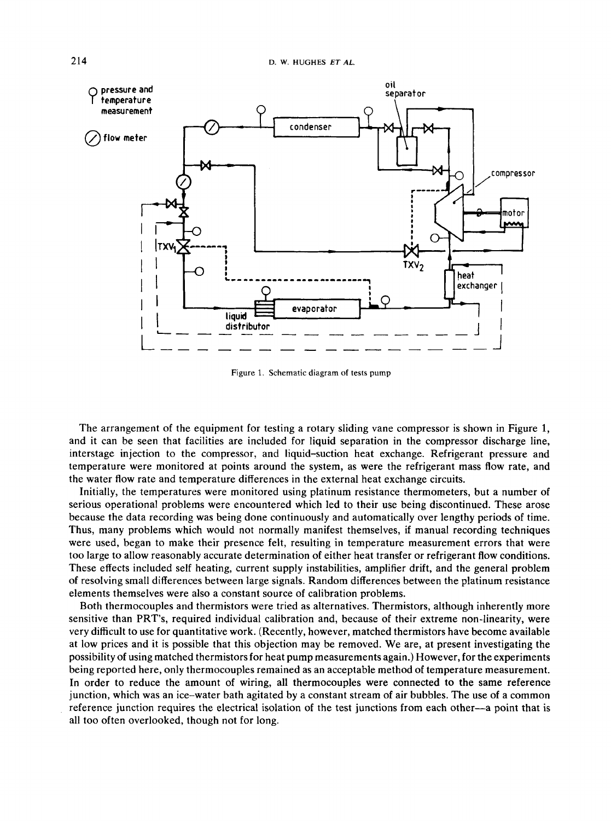

**Figure 1. Schematic diagram of tests pump** 

The arrangement of the equipment for testing a rotary sliding vane compressor is shown in Figure **1,**  and it can be seen that facilities are included for liquid separation in the compressor discharge line, interstage injection to the compressor, and liquid-suction heat exchange. Refrigerant pressure and temperature were monitored at points around the system, as were the refrigerant mass flow rate, and the water flow rate and temperature differences in the external heat exchange circuits.

Initially, the temperatures were monitored using platinum resistance thermometers, but a number of serious operational problems were encountered which led to their use being discontinued. These arose because the data recording was being done continuously and automatically over lengthy periods of time. Thus, many problems which would not normally manifest themselves, if manual recording techniques were used, began to make their presence felt, resulting in temperature measurement errors that were too large to allow reasonably accurate determination of either heat transfer **or** refrigerant flow conditions. These effects included self heating, current supply instabilities, amplifier drift, and the general problem of resolving small differences between large signals. Random differences between the platinum resistance elements themselves were also a constant source of calibration problems.

Both thermocouples and thermistors were tried as alternatives. Thermistors, although inherently more sensitive than PRT's, required individual calibration and, because of their extreme non-linearity, were very difficult to use for quantitative work. (Recently, however, matched thermistors have become available at low prices and it is possible that this objection may be removed. We are, at present investigating the possibility of using matched thermistors for heat pump measurements again.) However, for the experiments being reported here, only thermocouples remained as an acceptable method of temperature measurement. In order to reduce the amount of wiring, all thermocouples were connected to the same reference junction, which was an ice-water bath agitated by a constant stream of air bubbles. The use of a common reference junction requires the electrical isolation **of** the test junctions from each other-a point that is all too often overlooked, though not for long.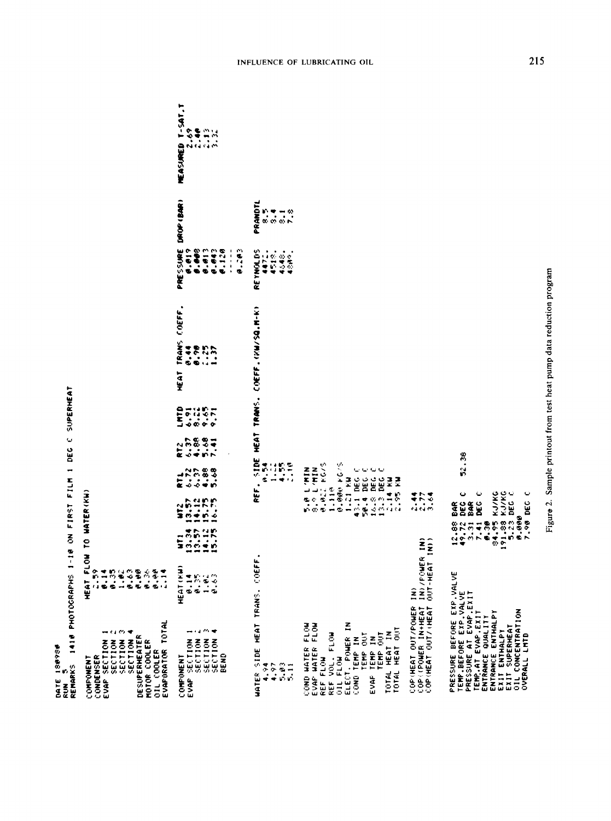| DATE ISB9SB<br>Run 5<br>Remarks 1410 Photographs 1-10 on First Film 1 dec C supermeat | HEAT FLOW TO WATER(KW)<br>$\frac{1}{2}$ |
|---------------------------------------------------------------------------------------|-----------------------------------------|
|                                                                                       |                                         |
|                                                                                       | <b>CONTRACTOR</b><br><b>COMPONENT</b>   |
|                                                                                       |                                         |

| OIL COOLER<br>EVAPORATOR TOTAL<br>$\mathcal{C}$<br>⇔ ¢a<br>DESUPERHEATER<br>SECTION<br>SECTION<br>SECTION<br>SECTION<br>MOTOR COOLER<br>CONDENSER<br>EVAP                                                         |                                         |                  |                                                                                                                                                  |                                               |                     |                                |      |       |        |                                                                                |                                                                               |                                         |  |
|-------------------------------------------------------------------------------------------------------------------------------------------------------------------------------------------------------------------|-----------------------------------------|------------------|--------------------------------------------------------------------------------------------------------------------------------------------------|-----------------------------------------------|---------------------|--------------------------------|------|-------|--------|--------------------------------------------------------------------------------|-------------------------------------------------------------------------------|-----------------------------------------|--|
| 经价格<br>$\overline{\phantom{a}}$<br><b>MOT135</b><br><b>SECTION</b><br><b>SECTION</b><br><b>POLL23S</b><br>BEND<br>COMPONENT<br>EVAF                                                                               | HEAT (KH)<br>1820<br>1840               | $\frac{35}{200}$ |                                                                                                                                                  |                                               | n<br>Eddin<br>Eddin | Esus <del>.</del><br>Esus      | HEAT | TRANS | COEFF. | FRE 55198<br>1999 - 1998<br>1999 - 1999<br>1998 - 1999<br>1998 - 1999<br>6.203 | DROP (BAR)                                                                    | <b>MEASURED T-SAT.T</b><br><b>SE</b> 23 |  |
| HEAT TRANS. CO<br>WATER SIDE<br>4.97<br>$\frac{2}{5}$<br>4.74                                                                                                                                                     | 岳                                       |                  | 짇                                                                                                                                                | 3115<br>ndhe<br>Sidhi<br>$\ddot{\phantom{0}}$ |                     | HEAT TRANS. COEFF. (20/50.M-K) |      |       |        | REYNOLDS<br>  4472<br>  4518<br>  45486<br>  45486                             | PRANDTL<br>$\begin{array}{ccc}\n0 & 2 & -1 & 0 \\ 0 & 0 & 0 & 0\n\end{array}$ |                                         |  |
| ELECT. POWER IN<br>COND TEMP IN<br>COND WATER FLOW<br>EVAP WATER FLOW<br>TOTAL HEAT OUT<br>TOTAL HEAT IN<br>TEMP OUT<br>REF VOL. FLOW<br>OIL FLOW<br>TEMP OUT<br>EVAP TEMP IN<br>REF FLOW                         |                                         |                  | <b>9.04 NOV 0.5</b><br>5.0 L'HIN<br>8.9 L'HIN<br>0.02 KC/S<br>1.10<br>43.1 DEG C<br>50.4 DEG C<br>16.3 DEC 1<br>13.3 DEC 1<br>13.3 NM<br>1-21 KW | ں ں                                           |                     |                                |      |       |        |                                                                                |                                                                               |                                         |  |
| IN) /FC<br>$\hat{\mathbf{z}}$<br>COP(HEAT OUT/POWER<br>COP(POWER IN+HEAT<br>COP(HEAT OUT/(HEAT                                                                                                                    | WER IN)<br><b>AT IN)</b><br>$0.07 - HE$ |                  | 1.5<br>ra na m                                                                                                                                   |                                               |                     |                                |      |       |        |                                                                                |                                                                               |                                         |  |
| PRESSURE BEFORE EXP.VALVE<br>TEMP.BEFORE EXP.VALVE<br>PRESSURE AT EVAP.EXIT<br>OIL CONCENTRATION<br>OVERALL LMTD<br>TEMP.AT EVAP.EXIT<br>ENTRANCE QUALITY<br>ENTRANCE ENTHALPY<br>EXIT ENTHALPY<br>EXIT SUPERHEAT |                                         |                  | 12.88 BAR<br>49.72 DECC<br>3.31 BAR C<br>7.31 DECCC<br>84.95 KJ/KC<br>84.98 KJ/KC<br>19.23 DECCC<br>0.000<br>7.90 DEC C                          | ž<br>្ល                                       |                     |                                |      |       |        |                                                                                |                                                                               |                                         |  |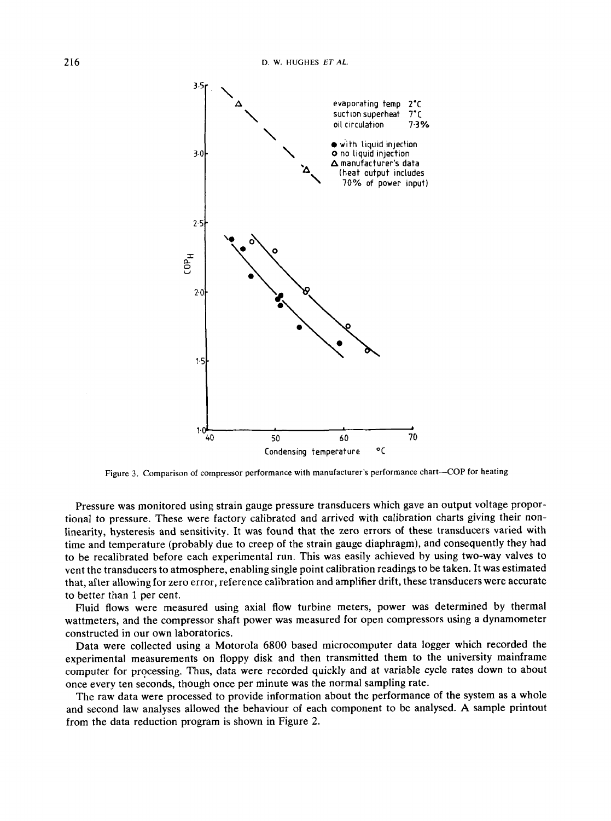

**Figure 3. Comparison of compressor performance with manufacturer's performance chart-COP for heating** 

Pressure was monitored using strain gauge pressure transducers which gave an output voltage proportional to pressure. These were factory calibrated and arrived with calibration charts giving their nonlinearity, hysteresis and sensitivity. It was found that the zero errors of these transducers varied with time and temperature (probably due to creep of the strain gauge diaphragm), and consequently they had to be recalibrated before each experimental run. This was easily achieved by using two-way valves to vent the transducers to atmosphere, enabling single point calibration readings to be taken. It was estimated that, after allowing for zero error, reference calibration and amplifier drift, these transducers were accurate to better than 1 per cent.

Fluid flows were measured using axial flow turbine meters, power was determined by thermal wattmeters, and the compressor shaft power was measured for open compressors using a dynamometer constructed in our own laboratories.

Data were collected using a Motorola 6800 based microcomputer data logger which recorded the experimental measurements on floppy disk and then transmitted them to the university mainframe computer for processing. Thus, data were recorded quickly and at variable cycle rates down to about once every ten seconds, though once per minute was the normal sampling rate.

The raw data were processed to provide information about the performance of the system as a whole and second law analyses allowed the behaviour of each component to be analysed. A sample printout from the data reduction program is shown in Figure 2.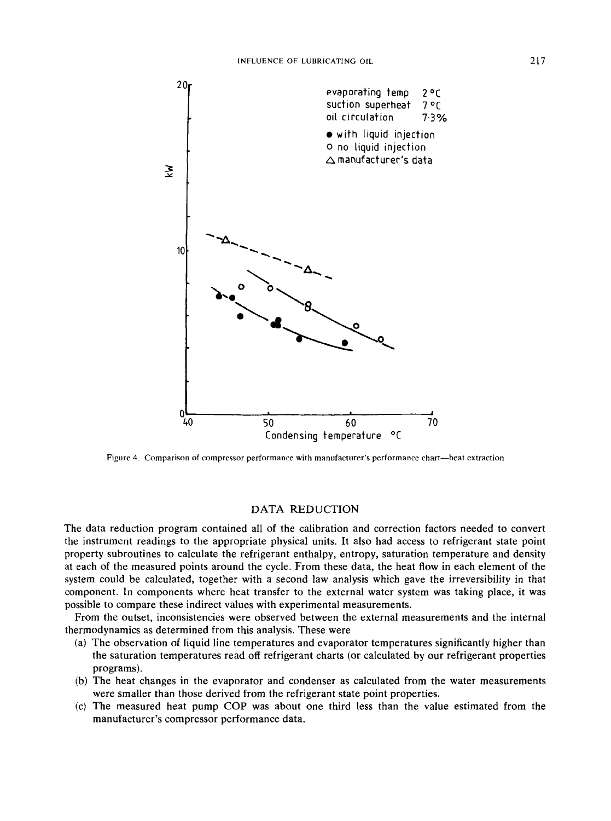

**Figure 4. Comparison of compressor performance with manufacturer's performance chart-heat extraction** 

## DATA REDUCTION

The data reduction program contained all of the calibration and correction factors needed to convert the instrument readings to the appropriate physical units. It also had access to refrigerant state point property subroutines to calculate the refrigerant enthalpy, entropy, saturation temperature and density at each of the measured points around the cycle. From these data, the heat flow in each element of the system could be calculated, together with a second law analysis which gave the irreversibility in that component. In components where heat transfer to the external water system was taking place, it was possible to compare these indirect values with experimental measurements.

From the outset, inconsistencies were observed between the external measurements and the internal thermodynamics as determined from this analysis. These were

- The observation of liquid line temperatures and evaporator temperatures significantly higher than the saturation temperatures read off refrigerant charts (or calculated by our refrigerant properties programs).
- (b) The heat changes in the evaporator and condenser as calculated from the water measurements were smaller than those derived from the refrigerant state point properties.
- The measured heat pump COP was about one third less than the value estimated from the manufacturer's compressor performance data.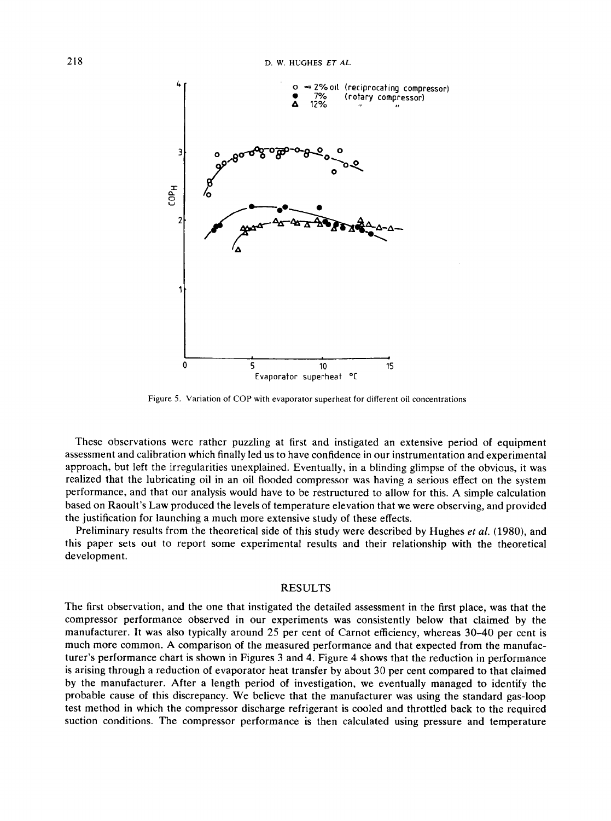

Figure **5.** Variation of COP with evaporator superheat for different oil concentrations

These observations were rather puzzling at first and instigated an extensive period of equipment assessment and calibration which finally led us to have confidence in our instrumentation and experimental approach, but left the irregularities unexplained. Eventually, in **a** blinding glimpse of the obvious, it was realized that the lubricating oil in an oil flooded compressor was having a serious effect on the system performance, and that our analysis would have to be restructured to allow for this. **A** simple calculation based on Raoult's Law produced the levels of temperature elevation that we were observing, and provided the justification for launching a much more extensive study of these effects.

Preliminary results from the theoretical side of this study were described by Hughes *et al.* (1980), and this paper sets out to report some experimental results and their relationship with the theoretical development.

## RESULTS

The first observation, and the one that instigated the detailed assessment in the first place, was that the compressor performance observed in our experiments was consistently below that claimed by the manufacturer. It was also typically around 25 per cent of Carnot efficiency, whereas **30-40** per cent is much more common. **A** comparison of the measured performance and that expected from the manufacturer's performance chart is shown in Figures **3** and **4.** Figure **4** shows that the reduction in performance is arising through a reduction of evaporator heat transfer by about **30** per cent compared to that claimed by the manufacturer. After a length period of investigation, we eventually managed to identify the probable cause of this discrepancy. We believe that the manufacturer was using the standard gas-loop test method in which the compressor discharge refrigerant is cooled and throttled back to the required suction conditions. The compressor performance is then calculated using pressure and temperature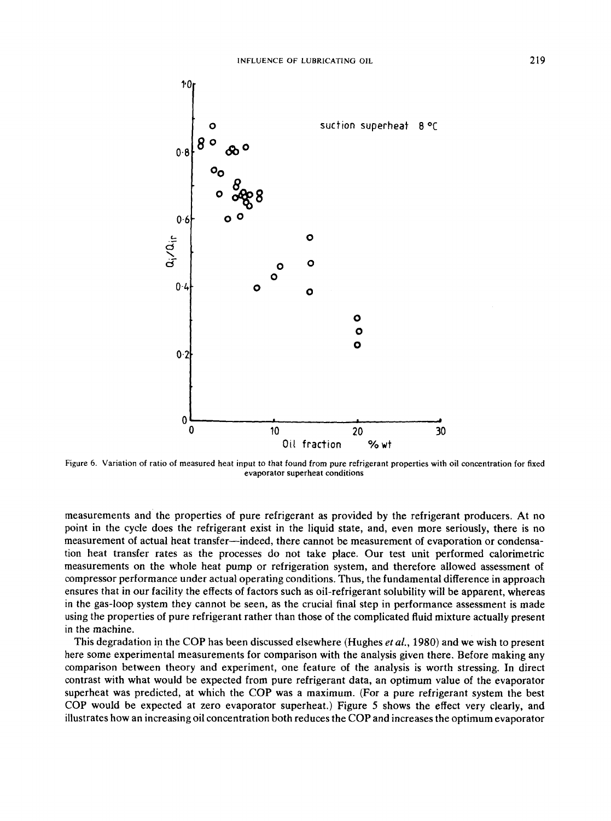

**Figure 6. Variation of ratio of measured heat input to that found from pure refrigerant properties with oil concentration for fixed evaporator superheat conditions** 

measurements and the properties of pure refrigerant as provided by the refrigerant producers. At no point in the cycle does the refrigerant exist in the liquid state, and, even more seriously, there is no measurement of actual heat transfer-indeed, there cannot be measurement of evaporation or condensation heat transfer rates as the processes do not take place. Our test unit performed calorimetric measurements on the whole heat pump or refrigeration system, and therefore allowed assessment of compressor performance under actual operating conditions. Thus, the fundamental difference in approach ensures that in our facility the effects of factors such as oil-refrigerant solubility will be apparent, whereas in the gas-loop system they cannot be seen, as the crucial final step in performance assessment is made using the properties of pure refrigerant rather than those of the complicated fluid mixture actually present in the machine.

This degradation in the COP has been discussed elsewhere (Hughes *etal.,* 1980) and we wish to present here some experimental measurements for comparison with the analysis given there. Before making any comparison between theory and experiment, one feature of the analysis is worth stressing. In direct contrast with what would be expected from pure refrigerant data, an optimum value of the evaporator superheat was predicted, at which the COP was a maximum. (For a pure refrigerant system the best COP would be expected at zero evaporator superheat.) Figure *5* shows the effect very clearly, and illustrates how an increasing oil concentration both reduces the COP and increases the optimum evaporator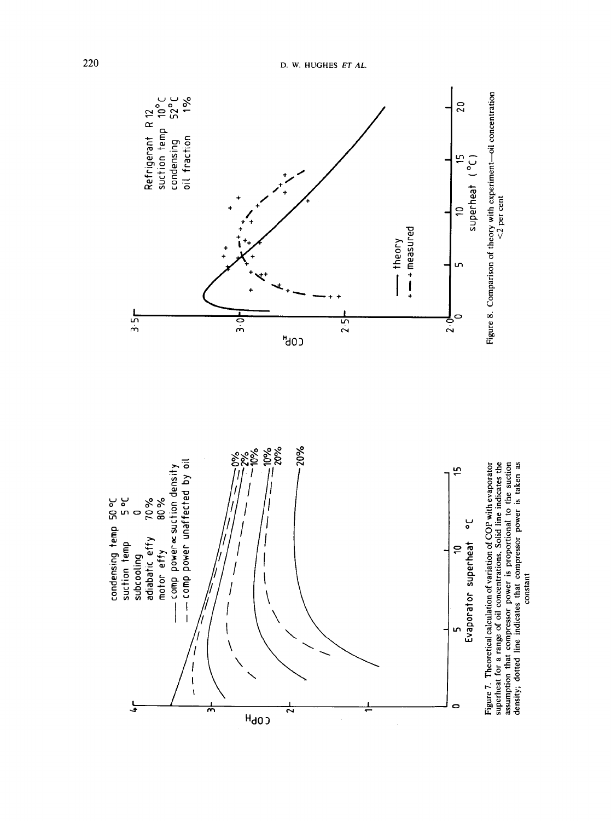

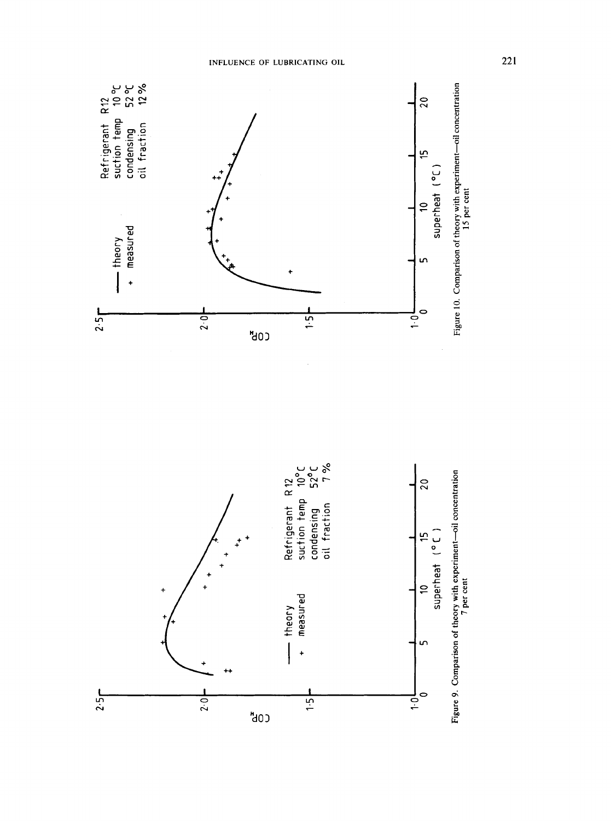